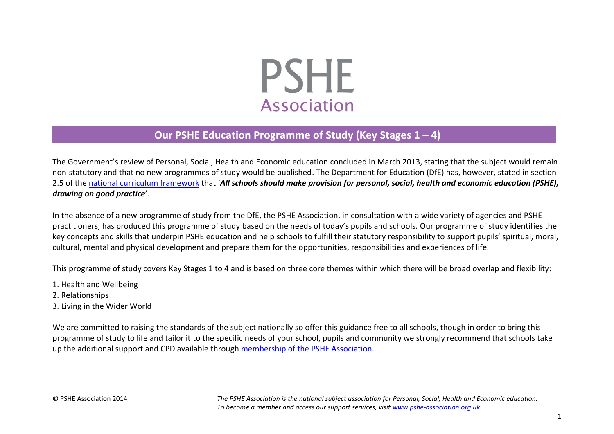# **PSHE Association**

# **Our PSHE Education Programme of Study (Key Stages 1 – 4)**

The Government's review of Personal, Social, Health and Economic education concluded in March 2013, stating that the subject would remain non-statutory and that no new programmes of study would be published. The Department for Education (DfE) has, however, stated in section 2.5 of the [national curriculum framework](https://www.gov.uk/government/publications/national-curriculum-in-england-framework-for-key-stages-1-to-4/the-national-curriculum-in-england-framework-for-key-stages-1-to-4) that '*All schools should make provision for personal, social, health and economic education (PSHE), drawing on good practice*'.

In the absence of a new programme of study from the DfE, the PSHE Association, in consultation with a wide variety of agencies and PSHE practitioners, has produced this programme of study based on the needs of today's pupils and schools. Our programme of study identifies the key concepts and skills that underpin PSHE education and help schools to fulfill their statutory responsibility to support pupils' spiritual, moral, cultural, mental and physical development and prepare them for the opportunities, responsibilities and experiences of life.

This programme of study covers Key Stages 1 to 4 and is based on three core themes within which there will be broad overlap and flexibility:

- 1. Health and Wellbeing
- 2. Relationships
- 3. Living in the Wider World

We are committed to raising the standards of the subject nationally so offer this guidance free to all schools, though in order to bring this programme of study to life and tailor it to the specific needs of your school, pupils and community we strongly recommend that schools take up the additional support and CPD available through membership of [the PSHE Association.](http://www.pshe-association.org.uk/content.aspx?CategoryID=1042)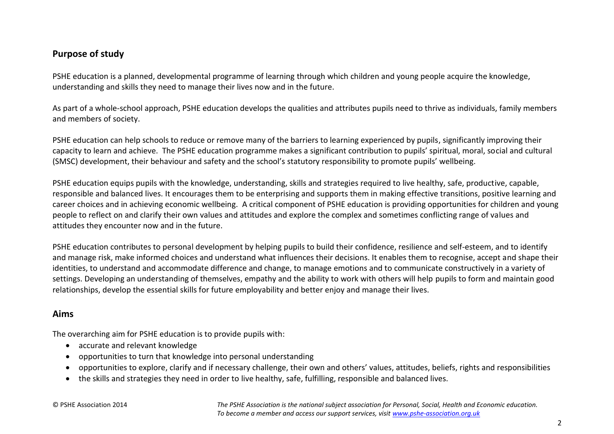#### **Purpose of study**

PSHE education is a planned, developmental programme of learning through which children and young people acquire the knowledge, understanding and skills they need to manage their lives now and in the future.

As part of a whole-school approach, PSHE education develops the qualities and attributes pupils need to thrive as individuals, family members and members of society.

PSHE education can help schools to reduce or remove many of the barriers to learning experienced by pupils, significantly improving their capacity to learn and achieve. The PSHE education programme makes a significant contribution to pupils' spiritual, moral, social and cultural (SMSC) development, their behaviour and safety and the school's statutory responsibility to promote pupils' wellbeing.

PSHE education equips pupils with the knowledge, understanding, skills and strategies required to live healthy, safe, productive, capable, responsible and balanced lives. It encourages them to be enterprising and supports them in making effective transitions, positive learning and career choices and in achieving economic wellbeing. A critical component of PSHE education is providing opportunities for children and young people to reflect on and clarify their own values and attitudes and explore the complex and sometimes conflicting range of values and attitudes they encounter now and in the future.

PSHE education contributes to personal development by helping pupils to build their confidence, resilience and self-esteem, and to identify and manage risk, make informed choices and understand what influences their decisions. It enables them to recognise, accept and shape their identities, to understand and accommodate difference and change, to manage emotions and to communicate constructively in a variety of settings. Developing an understanding of themselves, empathy and the ability to work with others will help pupils to form and maintain good relationships, develop the essential skills for future employability and better enjoy and manage their lives.

#### **Aims**

The overarching aim for PSHE education is to provide pupils with:

- accurate and relevant knowledge
- opportunities to turn that knowledge into personal understanding
- opportunities to explore, clarify and if necessary challenge, their own and others' values, attitudes, beliefs, rights and responsibilities
- the skills and strategies they need in order to live healthy, safe, fulfilling, responsible and balanced lives.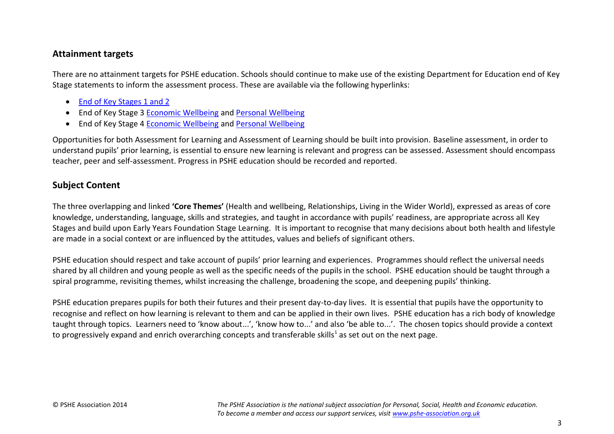#### **Attainment targets**

There are no attainment targets for PSHE education. Schools should continue to make use of the existing Department for Education end of Key Stage statements to inform the assessment process. These are available via the following hyperlinks:

- [End of Key Stages 1 and 2](http://www.education.gov.uk/schools/teachingandlearning/curriculum/primary/b00199209/pshe/statements)
- End of Key Stage 3 [Economic Wellbeing](http://www.education.gov.uk/schools/teachingandlearning/curriculum/secondary/b00198880/pshee/ks3/economic/statements) and [Personal Wellbeing](http://www.education.gov.uk/schools/teachingandlearning/curriculum/secondary/b00198880/pshee/ks3/personal/statements)
- End of Key Stage 4 [Economic Wellbeing](http://www.education.gov.uk/schools/teachingandlearning/curriculum/secondary/b00198880/pshee/ks4/economic/statements) and [Personal Wellbeing](http://www.education.gov.uk/schools/teachingandlearning/curriculum/secondary/b00198880/pshee/ks4/personal/statements)

Opportunities for both Assessment for Learning and Assessment of Learning should be built into provision. Baseline assessment, in order to understand pupils' prior learning, is essential to ensure new learning is relevant and progress can be assessed. Assessment should encompass teacher, peer and self-assessment. Progress in PSHE education should be recorded and reported.

#### **Subject Content**

The three overlapping and linked **'Core Themes'** (Health and wellbeing, Relationships, Living in the Wider World), expressed as areas of core knowledge, understanding, language, skills and strategies, and taught in accordance with pupils' readiness, are appropriate across all Key Stages and build upon Early Years Foundation Stage Learning. It is important to recognise that many decisions about both health and lifestyle are made in a social context or are influenced by the attitudes, values and beliefs of significant others.

PSHE education should respect and take account of pupils' prior learning and experiences. Programmes should reflect the universal needs shared by all children and young people as well as the specific needs of the pupils in the school. PSHE education should be taught through a spiral programme, revisiting themes, whilst increasing the challenge, broadening the scope, and deepening pupils' thinking.

PSHE education prepares pupils for both their futures and their present day-to-day lives. It is essential that pupils have the opportunity to recognise and reflect on how learning is relevant to them and can be applied in their own lives. PSHE education has a rich body of knowledge taught through topics. Learners need to 'know about...', 'know how to...' and also 'be able to...'. The chosen topics should provide a context to progressively expand and enrich overarching concepts and transferable skills<sup>1</sup> as set out on the next page.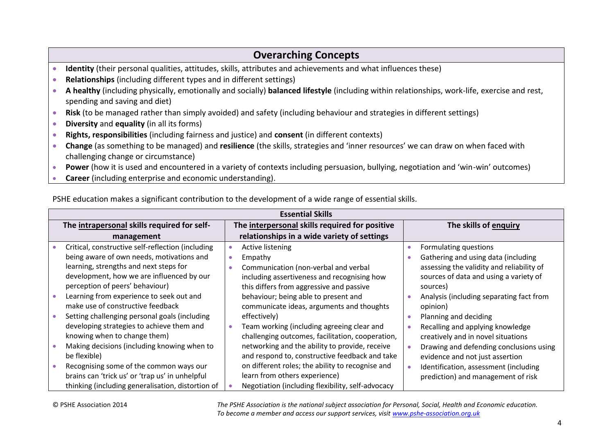# **Overarching Concepts**

- **Identity** (their personal qualities, attitudes, skills, attributes and achievements and what influences these)
- **Relationships** (including different types and in different settings)
- **A healthy** (including physically, emotionally and socially) **balanced lifestyle** (including within relationships, work-life, exercise and rest, spending and saving and diet)
- **Risk** (to be managed rather than simply avoided) and safety (including behaviour and strategies in different settings)
- **Diversity** and **equality** (in all its forms)
- **Rights, responsibilities** (including fairness and justice) and **consent** (in different contexts)
- **Change** (as something to be managed) and **resilience** (the skills, strategies and 'inner resources' we can draw on when faced with challenging change or circumstance)
- **Power** (how it is used and encountered in a variety of contexts including persuasion, bullying, negotiation and 'win-win' outcomes)
- **Career** (including enterprise and economic understanding).

|                                             | <b>Essential Skills</b>                           |                                                |                                                   |           |                                           |  |  |  |
|---------------------------------------------|---------------------------------------------------|------------------------------------------------|---------------------------------------------------|-----------|-------------------------------------------|--|--|--|
| The intrapersonal skills required for self- |                                                   | The interpersonal skills required for positive |                                                   |           | The skills of enquiry                     |  |  |  |
|                                             | management                                        | relationships in a wide variety of settings    |                                                   |           |                                           |  |  |  |
|                                             | Critical, constructive self-reflection (including | $\bullet$                                      | Active listening                                  | $\bullet$ | Formulating questions                     |  |  |  |
|                                             | being aware of own needs, motivations and         | $\bullet$                                      | Empathy                                           |           | Gathering and using data (including       |  |  |  |
|                                             | learning, strengths and next steps for            | $\bullet$                                      | Communication (non-verbal and verbal              |           | assessing the validity and reliability of |  |  |  |
|                                             | development, how we are influenced by our         |                                                | including assertiveness and recognising how       |           | sources of data and using a variety of    |  |  |  |
|                                             | perception of peers' behaviour)                   |                                                | this differs from aggressive and passive          |           | sources)                                  |  |  |  |
|                                             | Learning from experience to seek out and          |                                                | behaviour; being able to present and              |           | Analysis (including separating fact from  |  |  |  |
|                                             | make use of constructive feedback                 |                                                | communicate ideas, arguments and thoughts         |           | opinion)                                  |  |  |  |
|                                             | Setting challenging personal goals (including     |                                                | effectively)                                      |           | Planning and deciding                     |  |  |  |
|                                             | developing strategies to achieve them and         | ۰                                              | Team working (including agreeing clear and        |           | Recalling and applying knowledge          |  |  |  |
|                                             | knowing when to change them)                      |                                                | challenging outcomes, facilitation, cooperation,  |           | creatively and in novel situations        |  |  |  |
|                                             | Making decisions (including knowing when to       |                                                | networking and the ability to provide, receive    | $\bullet$ | Drawing and defending conclusions using   |  |  |  |
|                                             | be flexible)                                      |                                                | and respond to, constructive feedback and take    |           | evidence and not just assertion           |  |  |  |
|                                             | Recognising some of the common ways our           |                                                | on different roles; the ability to recognise and  | $\bullet$ | Identification, assessment (including     |  |  |  |
|                                             | brains can 'trick us' or 'trap us' in unhelpful   |                                                | learn from others experience)                     |           | prediction) and management of risk        |  |  |  |
|                                             | thinking (including generalisation, distortion of |                                                | Negotiation (including flexibility, self-advocacy |           |                                           |  |  |  |

PSHE education makes a significant contribution to the development of a wide range of essential skills.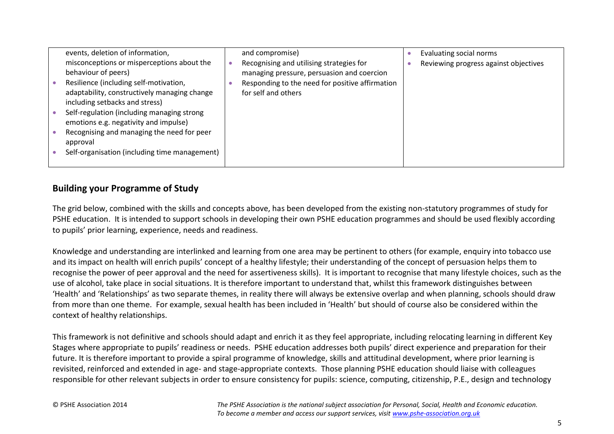| events, deletion of information,                                                                                                                                                              | and compromise)                                                                                                                                                  | Evaluating social norms               |
|-----------------------------------------------------------------------------------------------------------------------------------------------------------------------------------------------|------------------------------------------------------------------------------------------------------------------------------------------------------------------|---------------------------------------|
| misconceptions or misperceptions about the<br>behaviour of peers)<br>Resilience (including self-motivation,<br>adaptability, constructively managing change<br>including setbacks and stress) | Recognising and utilising strategies for<br>managing pressure, persuasion and coercion<br>Responding to the need for positive affirmation<br>for self and others | Reviewing progress against objectives |
| Self-regulation (including managing strong<br>emotions e.g. negativity and impulse)                                                                                                           |                                                                                                                                                                  |                                       |
| Recognising and managing the need for peer<br>approval                                                                                                                                        |                                                                                                                                                                  |                                       |
| Self-organisation (including time management)                                                                                                                                                 |                                                                                                                                                                  |                                       |

#### **Building your Programme of Study**

The grid below, combined with the skills and concepts above, has been developed from the existing non-statutory programmes of study for PSHE education. It is intended to support schools in developing their own PSHE education programmes and should be used flexibly according to pupils' prior learning, experience, needs and readiness.

Knowledge and understanding are interlinked and learning from one area may be pertinent to others (for example, enquiry into tobacco use and its impact on health will enrich pupils' concept of a healthy lifestyle; their understanding of the concept of persuasion helps them to recognise the power of peer approval and the need for assertiveness skills). It is important to recognise that many lifestyle choices, such as the use of alcohol, take place in social situations. It is therefore important to understand that, whilst this framework distinguishes between 'Health' and 'Relationships' as two separate themes, in reality there will always be extensive overlap and when planning, schools should draw from more than one theme. For example, sexual health has been included in 'Health' but should of course also be considered within the context of healthy relationships.

This framework is not definitive and schools should adapt and enrich it as they feel appropriate, including relocating learning in different Key Stages where appropriate to pupils' readiness or needs. PSHE education addresses both pupils' direct experience and preparation for their future. It is therefore important to provide a spiral programme of knowledge, skills and attitudinal development, where prior learning is revisited, reinforced and extended in age- and stage-appropriate contexts. Those planning PSHE education should liaise with colleagues responsible for other relevant subjects in order to ensure consistency for pupils: science, computing, citizenship, P.E., design and technology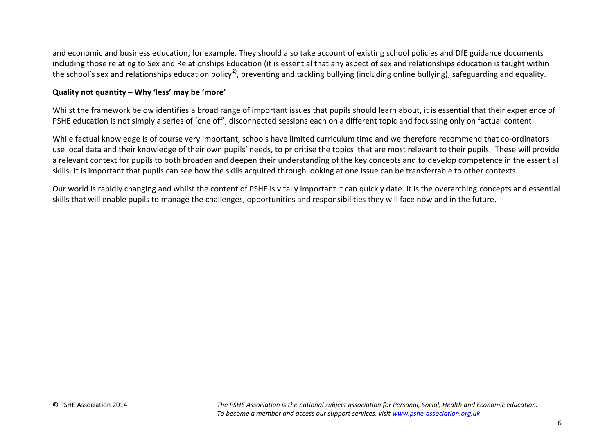and economic and business education, for example. They should also take account of existing school policies and DfE guidance documents including those relating to Sex and Relationships Education (it is essential that any aspect of sex and relationships education is taught within the school's sex and relationships education policy<sup>2)</sup>, preventing and tackling bullying (including online bullying), safeguarding and equality.

#### **Quality not quantity – Why 'less' may be 'more'**

Whilst the framework below identifies a broad range of important issues that pupils should learn about, it is essential that their experience of PSHE education is not simply a series of 'one off', disconnected sessions each on a different topic and focussing only on factual content.

While factual knowledge is of course very important, schools have limited curriculum time and we therefore recommend that co-ordinators use local data and their knowledge of their own pupils' needs, to prioritise the topics that are most relevant to their pupils. These will provide a relevant context for pupils to both broaden and deepen their understanding of the key concepts and to develop competence in the essential skills. It is important that pupils can see how the skills acquired through looking at one issue can be transferrable to other contexts.

Our world is rapidly changing and whilst the content of PSHE is vitally important it can quickly date. It is the overarching concepts and essential skills that will enable pupils to manage the challenges, opportunities and responsibilities they will face now and in the future.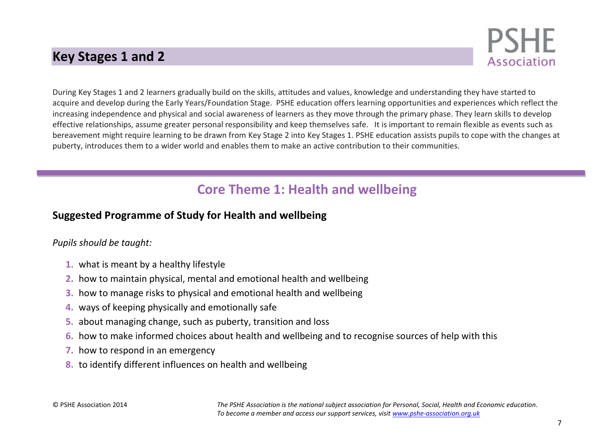# **Key Stages 1 and 2**



During Key Stages 1 and 2 learners gradually build on the skills, attitudes and values, knowledge and understanding they have started to acquire and develop during the Early Years/Foundation Stage. PSHE education offers learning opportunities and experiences which reflect the increasing independence and physical and social awareness of learners as they move through the primary phase. They learn skills to develop effective relationships, assume greater personal responsibility and keep themselves safe. It is important to remain flexible as events such as bereavement might require learning to be drawn from Key Stage 2 into Key Stages 1. PSHE education assists pupils to cope with the changes at puberty, introduces them to a wider world and enables them to make an active contribution to their communities.

# **Core Theme 1: Health and wellbeing**

# **Suggested Programme of Study for Health and wellbeing**

*Pupils should be taught:*

- **1.** what is meant by a healthy lifestyle
- **2.** how to maintain physical, mental and emotional health and wellbeing
- **3.** how to manage risks to physical and emotional health and wellbeing
- **4.** ways of keeping physically and emotionally safe
- **5.** about managing change, such as puberty, transition and loss
- **6.** how to make informed choices about health and wellbeing and to recognise sources of help with this
- **7.** how to respond in an emergency
- **8.** to identify different influences on health and wellbeing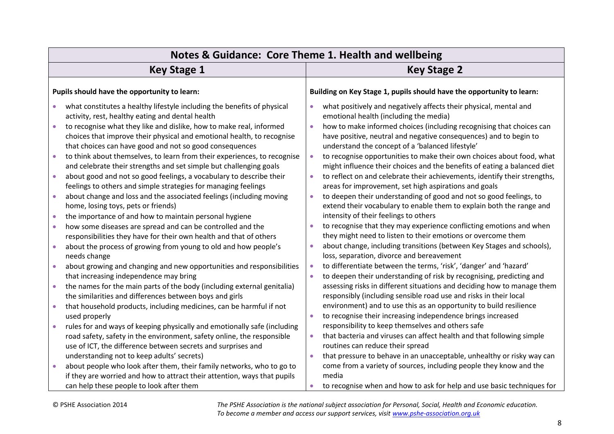| Notes & Guidance: Core Theme 1. Health and wellbeing                                                                                                                                                                                                                                      |                                                                                                                                                                                                                                                                       |  |  |  |  |  |
|-------------------------------------------------------------------------------------------------------------------------------------------------------------------------------------------------------------------------------------------------------------------------------------------|-----------------------------------------------------------------------------------------------------------------------------------------------------------------------------------------------------------------------------------------------------------------------|--|--|--|--|--|
| <b>Key Stage 1</b>                                                                                                                                                                                                                                                                        | <b>Key Stage 2</b>                                                                                                                                                                                                                                                    |  |  |  |  |  |
| Pupils should have the opportunity to learn:                                                                                                                                                                                                                                              | Building on Key Stage 1, pupils should have the opportunity to learn:                                                                                                                                                                                                 |  |  |  |  |  |
| what constitutes a healthy lifestyle including the benefits of physical<br>activity, rest, healthy eating and dental health<br>to recognise what they like and dislike, how to make real, informed<br>$\bullet$<br>choices that improve their physical and emotional health, to recognise | what positively and negatively affects their physical, mental and<br>emotional health (including the media)<br>how to make informed choices (including recognising that choices can<br>$\bullet$<br>have positive, neutral and negative consequences) and to begin to |  |  |  |  |  |
| that choices can have good and not so good consequences<br>to think about themselves, to learn from their experiences, to recognise<br>$\bullet$<br>and celebrate their strengths and set simple but challenging goals                                                                    | understand the concept of a 'balanced lifestyle'<br>to recognise opportunities to make their own choices about food, what<br>$\bullet$<br>might influence their choices and the benefits of eating a balanced diet                                                    |  |  |  |  |  |
| about good and not so good feelings, a vocabulary to describe their<br>$\bullet$<br>feelings to others and simple strategies for managing feelings                                                                                                                                        | to reflect on and celebrate their achievements, identify their strengths,<br>$\bullet$<br>areas for improvement, set high aspirations and goals                                                                                                                       |  |  |  |  |  |
| about change and loss and the associated feelings (including moving<br>$\bullet$<br>home, losing toys, pets or friends)                                                                                                                                                                   | to deepen their understanding of good and not so good feelings, to<br>$\bullet$<br>extend their vocabulary to enable them to explain both the range and                                                                                                               |  |  |  |  |  |
| the importance of and how to maintain personal hygiene<br>how some diseases are spread and can be controlled and the<br>$\bullet$<br>responsibilities they have for their own health and that of others                                                                                   | intensity of their feelings to others<br>to recognise that they may experience conflicting emotions and when<br>they might need to listen to their emotions or overcome them                                                                                          |  |  |  |  |  |
| about the process of growing from young to old and how people's<br>$\bullet$<br>needs change                                                                                                                                                                                              | about change, including transitions (between Key Stages and schools),<br>$\bullet$<br>loss, separation, divorce and bereavement                                                                                                                                       |  |  |  |  |  |
| about growing and changing and new opportunities and responsibilities<br>that increasing independence may bring                                                                                                                                                                           | to differentiate between the terms, 'risk', 'danger' and 'hazard'<br>$\bullet$<br>to deepen their understanding of risk by recognising, predicting and<br>$\bullet$                                                                                                   |  |  |  |  |  |
| the names for the main parts of the body (including external genitalia)<br>۰<br>the similarities and differences between boys and girls                                                                                                                                                   | assessing risks in different situations and deciding how to manage them<br>responsibly (including sensible road use and risks in their local                                                                                                                          |  |  |  |  |  |
| that household products, including medicines, can be harmful if not<br>$\bullet$<br>used properly                                                                                                                                                                                         | environment) and to use this as an opportunity to build resilience<br>to recognise their increasing independence brings increased<br>$\bullet$                                                                                                                        |  |  |  |  |  |
| rules for and ways of keeping physically and emotionally safe (including<br>road safety, safety in the environment, safety online, the responsible<br>use of ICT, the difference between secrets and surprises and                                                                        | responsibility to keep themselves and others safe<br>that bacteria and viruses can affect health and that following simple<br>$\bullet$<br>routines can reduce their spread                                                                                           |  |  |  |  |  |
| understanding not to keep adults' secrets)<br>about people who look after them, their family networks, who to go to<br>$\bullet$<br>if they are worried and how to attract their attention, ways that pupils                                                                              | that pressure to behave in an unacceptable, unhealthy or risky way can<br>$\bullet$<br>come from a variety of sources, including people they know and the<br>media                                                                                                    |  |  |  |  |  |
| can help these people to look after them                                                                                                                                                                                                                                                  | to recognise when and how to ask for help and use basic techniques for                                                                                                                                                                                                |  |  |  |  |  |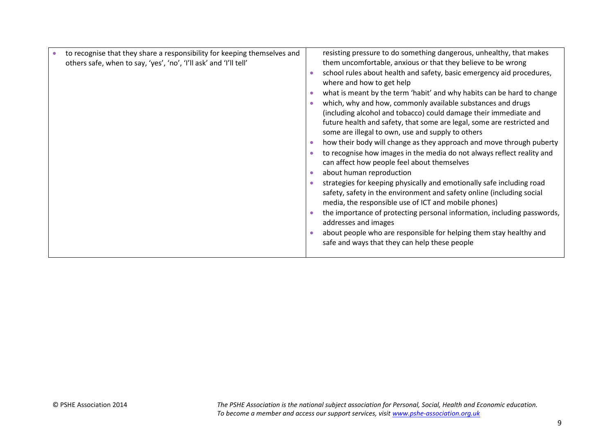| to recognise that they share a responsibility for keeping themselves and | resisting pressure to do something dangerous, unhealthy, that makes     |
|--------------------------------------------------------------------------|-------------------------------------------------------------------------|
| others safe, when to say, 'yes', 'no', 'I'll ask' and 'I'll tell'        | them uncomfortable, anxious or that they believe to be wrong            |
|                                                                          | school rules about health and safety, basic emergency aid procedures,   |
|                                                                          | where and how to get help                                               |
|                                                                          | what is meant by the term 'habit' and why habits can be hard to change  |
|                                                                          | which, why and how, commonly available substances and drugs             |
|                                                                          | (including alcohol and tobacco) could damage their immediate and        |
|                                                                          | future health and safety, that some are legal, some are restricted and  |
|                                                                          | some are illegal to own, use and supply to others                       |
|                                                                          | how their body will change as they approach and move through puberty    |
|                                                                          | to recognise how images in the media do not always reflect reality and  |
|                                                                          | can affect how people feel about themselves                             |
|                                                                          | about human reproduction                                                |
|                                                                          | strategies for keeping physically and emotionally safe including road   |
|                                                                          | safety, safety in the environment and safety online (including social   |
|                                                                          | media, the responsible use of ICT and mobile phones)                    |
|                                                                          | the importance of protecting personal information, including passwords, |
|                                                                          | addresses and images                                                    |
|                                                                          | about people who are responsible for helping them stay healthy and      |
|                                                                          | safe and ways that they can help these people                           |
|                                                                          |                                                                         |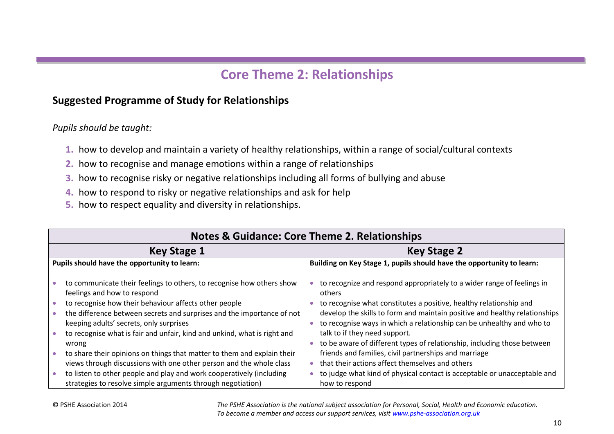# **Core Theme 2: Relationships**

# **Suggested Programme of Study for Relationships**

*Pupils should be taught:*

- **1.** how to develop and maintain a variety of healthy relationships, within a range of social/cultural contexts
- **2.** how to recognise and manage emotions within a range of relationships
- **3.** how to recognise risky or negative relationships including all forms of bullying and abuse
- **4.** how to respond to risky or negative relationships and ask for help
- **5.** how to respect equality and diversity in relationships.

| <b>Notes &amp; Guidance: Core Theme 2. Relationships</b>                                                                                                                                                                                                                                                                                                                                                                                                                                                                  |                                                                                                                                                                                                                                                                                                                                                                                                                                                                                                                                                       |  |  |  |  |
|---------------------------------------------------------------------------------------------------------------------------------------------------------------------------------------------------------------------------------------------------------------------------------------------------------------------------------------------------------------------------------------------------------------------------------------------------------------------------------------------------------------------------|-------------------------------------------------------------------------------------------------------------------------------------------------------------------------------------------------------------------------------------------------------------------------------------------------------------------------------------------------------------------------------------------------------------------------------------------------------------------------------------------------------------------------------------------------------|--|--|--|--|
| <b>Key Stage 1</b>                                                                                                                                                                                                                                                                                                                                                                                                                                                                                                        | <b>Key Stage 2</b>                                                                                                                                                                                                                                                                                                                                                                                                                                                                                                                                    |  |  |  |  |
| Pupils should have the opportunity to learn:                                                                                                                                                                                                                                                                                                                                                                                                                                                                              | Building on Key Stage 1, pupils should have the opportunity to learn:                                                                                                                                                                                                                                                                                                                                                                                                                                                                                 |  |  |  |  |
| to communicate their feelings to others, to recognise how others show<br>feelings and how to respond<br>to recognise how their behaviour affects other people<br>the difference between secrets and surprises and the importance of not<br>keeping adults' secrets, only surprises<br>to recognise what is fair and unfair, kind and unkind, what is right and<br>wrong<br>to share their opinions on things that matter to them and explain their<br>views through discussions with one other person and the whole class | to recognize and respond appropriately to a wider range of feelings in<br>others<br>• to recognise what constitutes a positive, healthy relationship and<br>develop the skills to form and maintain positive and healthy relationships<br>• to recognise ways in which a relationship can be unhealthy and who to<br>talk to if they need support.<br>• to be aware of different types of relationship, including those between<br>friends and families, civil partnerships and marriage<br>$\bullet$ that their actions affect themselves and others |  |  |  |  |
| to listen to other people and play and work cooperatively (including<br>strategies to resolve simple arguments through negotiation)                                                                                                                                                                                                                                                                                                                                                                                       | to judge what kind of physical contact is acceptable or unacceptable and<br>how to respond                                                                                                                                                                                                                                                                                                                                                                                                                                                            |  |  |  |  |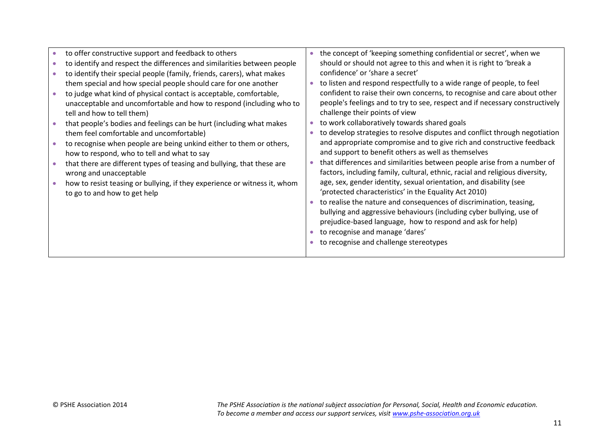| to offer constructive support and feedback to others                      | the concept of 'keeping something confidential or secret', when we           |
|---------------------------------------------------------------------------|------------------------------------------------------------------------------|
| to identify and respect the differences and similarities between people   | should or should not agree to this and when it is right to 'break a          |
| to identify their special people (family, friends, carers), what makes    | confidence' or 'share a secret'                                              |
| them special and how special people should care for one another           | to listen and respond respectfully to a wide range of people, to feel        |
| to judge what kind of physical contact is acceptable, comfortable,        | confident to raise their own concerns, to recognise and care about other     |
| unacceptable and uncomfortable and how to respond (including who to       | people's feelings and to try to see, respect and if necessary constructively |
| tell and how to tell them)                                                | challenge their points of view                                               |
| that people's bodies and feelings can be hurt (including what makes       | to work collaboratively towards shared goals                                 |
| them feel comfortable and uncomfortable)                                  | to develop strategies to resolve disputes and conflict through negotiation   |
| to recognise when people are being unkind either to them or others,       | and appropriate compromise and to give rich and constructive feedback        |
| how to respond, who to tell and what to say                               | and support to benefit others as well as themselves                          |
| that there are different types of teasing and bullying, that these are    | that differences and similarities between people arise from a number of      |
| wrong and unacceptable                                                    | factors, including family, cultural, ethnic, racial and religious diversity, |
| how to resist teasing or bullying, if they experience or witness it, whom | age, sex, gender identity, sexual orientation, and disability (see           |
| to go to and how to get help                                              | 'protected characteristics' in the Equality Act 2010)                        |
|                                                                           | to realise the nature and consequences of discrimination, teasing,           |
|                                                                           | bullying and aggressive behaviours (including cyber bullying, use of         |
|                                                                           | prejudice-based language, how to respond and ask for help)                   |
|                                                                           | to recognise and manage 'dares'                                              |
|                                                                           | to recognise and challenge stereotypes                                       |
|                                                                           |                                                                              |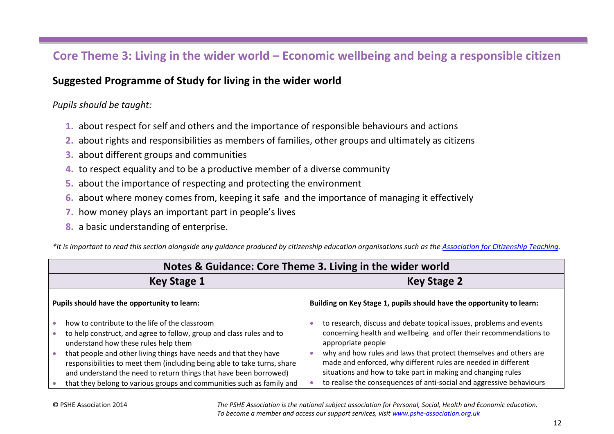# **Core Theme 3: Living in the wider world – Economic wellbeing and being a responsible citizen**

#### **Suggested Programme of Study for living in the wider world**

#### *Pupils should be taught:*

- **1.** about respect for self and others and the importance of responsible behaviours and actions
- **2.** about rights and responsibilities as members of families, other groups and ultimately as citizens
- **3.** about different groups and communities
- **4.** to respect equality and to be a productive member of a diverse community
- **5.** about the importance of respecting and protecting the environment
- **6.** about where money comes from, keeping it safe and the importance of managing it effectively
- **7.** how money plays an important part in people's lives
- **8.** a basic understanding of enterprise.

*\*It is important to read this section alongside any guidance produced by citizenship education organisations such as th[e Association for Citizenship Teaching.](http://www.teachingcitizenship.org.uk/)*

| Notes & Guidance: Core Theme 3. Living in the wider world                                                                                                                                                                                                                                                                                                                                                                                                     |                                                                                                                                                                                                                                                                                                                                                                                                                                                |  |  |  |  |  |
|---------------------------------------------------------------------------------------------------------------------------------------------------------------------------------------------------------------------------------------------------------------------------------------------------------------------------------------------------------------------------------------------------------------------------------------------------------------|------------------------------------------------------------------------------------------------------------------------------------------------------------------------------------------------------------------------------------------------------------------------------------------------------------------------------------------------------------------------------------------------------------------------------------------------|--|--|--|--|--|
| <b>Key Stage 1</b>                                                                                                                                                                                                                                                                                                                                                                                                                                            | <b>Key Stage 2</b>                                                                                                                                                                                                                                                                                                                                                                                                                             |  |  |  |  |  |
| Pupils should have the opportunity to learn:                                                                                                                                                                                                                                                                                                                                                                                                                  | Building on Key Stage 1, pupils should have the opportunity to learn:                                                                                                                                                                                                                                                                                                                                                                          |  |  |  |  |  |
| how to contribute to the life of the classroom<br>to help construct, and agree to follow, group and class rules and to<br>understand how these rules help them<br>that people and other living things have needs and that they have<br>responsibilities to meet them (including being able to take turns, share<br>and understand the need to return things that have been borrowed)<br>that they belong to various groups and communities such as family and | to research, discuss and debate topical issues, problems and events<br>concerning health and wellbeing and offer their recommendations to<br>appropriate people<br>why and how rules and laws that protect themselves and others are<br>made and enforced, why different rules are needed in different<br>situations and how to take part in making and changing rules<br>to realise the consequences of anti-social and aggressive behaviours |  |  |  |  |  |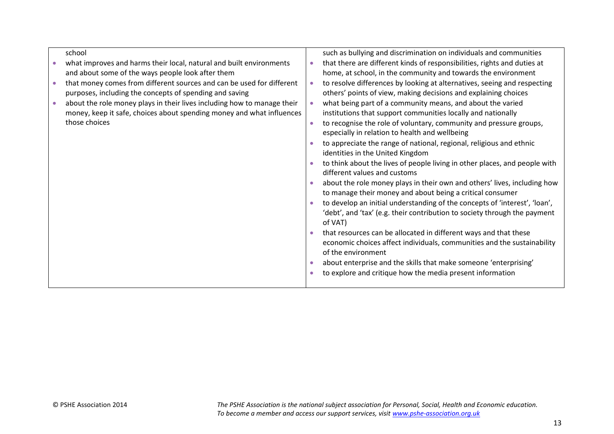| such as bullying and discrimination on individuals and communities         |
|----------------------------------------------------------------------------|
| that there are different kinds of responsibilities, rights and duties at   |
| home, at school, in the community and towards the environment              |
| to resolve differences by looking at alternatives, seeing and respecting   |
| others' points of view, making decisions and explaining choices            |
| what being part of a community means, and about the varied                 |
| institutions that support communities locally and nationally               |
| to recognise the role of voluntary, community and pressure groups,         |
| especially in relation to health and wellbeing                             |
| to appreciate the range of national, regional, religious and ethnic        |
| identities in the United Kingdom                                           |
| to think about the lives of people living in other places, and people with |
| different values and customs                                               |
| about the role money plays in their own and others' lives, including how   |
| to manage their money and about being a critical consumer                  |
| to develop an initial understanding of the concepts of 'interest', 'loan', |
| 'debt', and 'tax' (e.g. their contribution to society through the payment  |
| of VAT)                                                                    |
| that resources can be allocated in different ways and that these           |
| economic choices affect individuals, communities and the sustainability    |
| of the environment                                                         |
| about enterprise and the skills that make someone 'enterprising'           |
| to explore and critique how the media present information                  |
|                                                                            |
|                                                                            |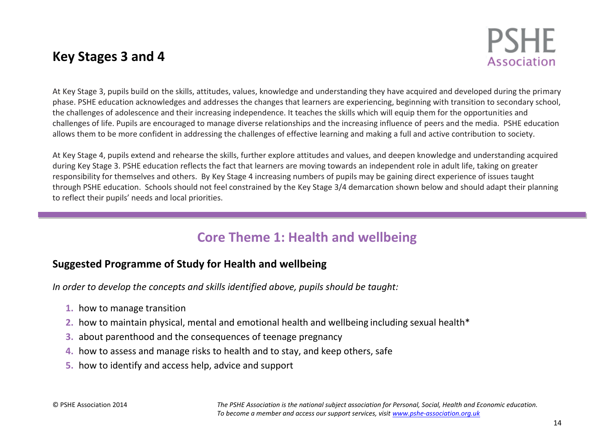# **Key Stages 3 and 4**



At Key Stage 3, pupils build on the skills, attitudes, values, knowledge and understanding they have acquired and developed during the primary phase. PSHE education acknowledges and addresses the changes that learners are experiencing, beginning with transition to secondary school, the challenges of adolescence and their increasing independence. It teaches the skills which will equip them for the opportunities and challenges of life. Pupils are encouraged to manage diverse relationships and the increasing influence of peers and the media. PSHE education allows them to be more confident in addressing the challenges of effective learning and making a full and active contribution to society.

At Key Stage 4, pupils extend and rehearse the skills, further explore attitudes and values, and deepen knowledge and understanding acquired during Key Stage 3. PSHE education reflects the fact that learners are moving towards an independent role in adult life, taking on greater responsibility for themselves and others. By Key Stage 4 increasing numbers of pupils may be gaining direct experience of issues taught through PSHE education. Schools should not feel constrained by the Key Stage 3/4 demarcation shown below and should adapt their planning to reflect their pupils' needs and local priorities.

# **Core Theme 1: Health and wellbeing**

# **Suggested Programme of Study for Health and wellbeing**

*In order to develop the concepts and skills identified above, pupils should be taught:*

- **1.** how to manage transition
- **2.** how to maintain physical, mental and emotional health and wellbeing including sexual health\*
- **3.** about parenthood and the consequences of teenage pregnancy
- **4.** how to assess and manage risks to health and to stay, and keep others, safe
- **5.** how to identify and access help, advice and support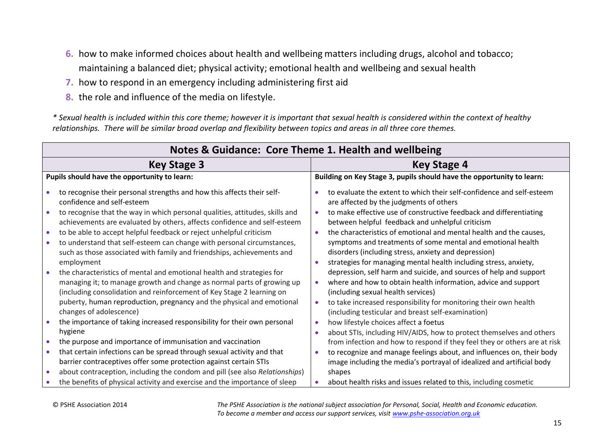- **6.** how to make informed choices about health and wellbeing matters including drugs, alcohol and tobacco; maintaining a balanced diet; physical activity; emotional health and wellbeing and sexual health
- **7.** how to respond in an emergency including administering first aid
- **8.** the role and influence of the media on lifestyle.

*\* Sexual health is included within this core theme; however it is important that sexual health is considered within the context of healthy relationships. There will be similar broad overlap and flexibility between topics and areas in all three core themes.*

|           | Notes & Guidance: Core Theme 1. Health and wellbeing                                                                                                                                                                                                                                                                         |                        |                                                                                                                                                                                                                                                                                                      |  |  |  |  |
|-----------|------------------------------------------------------------------------------------------------------------------------------------------------------------------------------------------------------------------------------------------------------------------------------------------------------------------------------|------------------------|------------------------------------------------------------------------------------------------------------------------------------------------------------------------------------------------------------------------------------------------------------------------------------------------------|--|--|--|--|
|           | <b>Key Stage 3</b>                                                                                                                                                                                                                                                                                                           | Key Stage 4            |                                                                                                                                                                                                                                                                                                      |  |  |  |  |
|           | Pupils should have the opportunity to learn:                                                                                                                                                                                                                                                                                 |                        | Building on Key Stage 3, pupils should have the opportunity to learn:                                                                                                                                                                                                                                |  |  |  |  |
|           | to recognise their personal strengths and how this affects their self-<br>confidence and self-esteem                                                                                                                                                                                                                         |                        | to evaluate the extent to which their self-confidence and self-esteem<br>are affected by the judgments of others                                                                                                                                                                                     |  |  |  |  |
|           | to recognise that the way in which personal qualities, attitudes, skills and<br>achievements are evaluated by others, affects confidence and self-esteem                                                                                                                                                                     |                        | to make effective use of constructive feedback and differentiating<br>between helpful feedback and unhelpful criticism                                                                                                                                                                               |  |  |  |  |
| $\bullet$ | to be able to accept helpful feedback or reject unhelpful criticism<br>to understand that self-esteem can change with personal circumstances,<br>such as those associated with family and friendships, achievements and<br>employment                                                                                        | $\bullet$<br>$\bullet$ | the characteristics of emotional and mental health and the causes,<br>symptoms and treatments of some mental and emotional health<br>disorders (including stress, anxiety and depression)<br>strategies for managing mental health including stress, anxiety,                                        |  |  |  |  |
|           | the characteristics of mental and emotional health and strategies for<br>managing it; to manage growth and change as normal parts of growing up<br>(including consolidation and reinforcement of Key Stage 2 learning on<br>puberty, human reproduction, pregnancy and the physical and emotional<br>changes of adolescence) | $\bullet$              | depression, self harm and suicide, and sources of help and support<br>where and how to obtain health information, advice and support<br>(including sexual health services)<br>to take increased responsibility for monitoring their own health<br>(including testicular and breast self-examination) |  |  |  |  |
|           | the importance of taking increased responsibility for their own personal<br>hygiene                                                                                                                                                                                                                                          | $\bullet$<br>٠         | how lifestyle choices affect a foetus<br>about STIs, including HIV/AIDS, how to protect themselves and others                                                                                                                                                                                        |  |  |  |  |
|           | the purpose and importance of immunisation and vaccination                                                                                                                                                                                                                                                                   |                        | from infection and how to respond if they feel they or others are at risk                                                                                                                                                                                                                            |  |  |  |  |
| $\bullet$ | that certain infections can be spread through sexual activity and that<br>barrier contraceptives offer some protection against certain STIs<br>about contraception, including the condom and pill (see also Relationships)                                                                                                   |                        | to recognize and manage feelings about, and influences on, their body<br>image including the media's portrayal of idealized and artificial body<br>shapes                                                                                                                                            |  |  |  |  |
|           | the benefits of physical activity and exercise and the importance of sleep                                                                                                                                                                                                                                                   |                        | about health risks and issues related to this, including cosmetic                                                                                                                                                                                                                                    |  |  |  |  |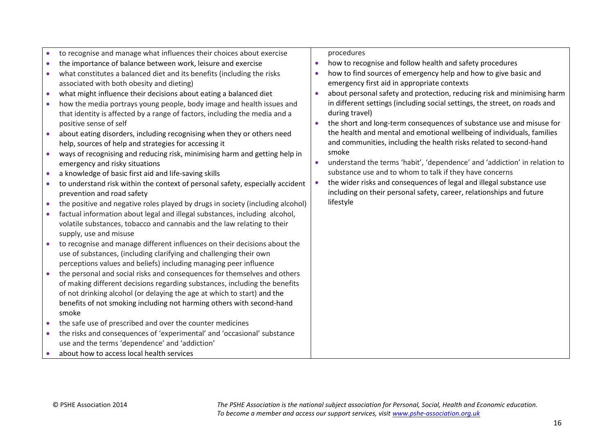|           | to recognise and manage what influences their choices about exercise           |           | procedures                                                                 |
|-----------|--------------------------------------------------------------------------------|-----------|----------------------------------------------------------------------------|
|           | the importance of balance between work, leisure and exercise                   |           | how to recognise and follow health and safety procedures                   |
| $\bullet$ | what constitutes a balanced diet and its benefits (including the risks         |           | how to find sources of emergency help and how to give basic and            |
|           | associated with both obesity and dieting)                                      |           | emergency first aid in appropriate contexts                                |
| $\bullet$ | what might influence their decisions about eating a balanced diet              | $\bullet$ | about personal safety and protection, reducing risk and minimising harm    |
|           | how the media portrays young people, body image and health issues and          |           | in different settings (including social settings, the street, on roads and |
|           | that identity is affected by a range of factors, including the media and a     |           | during travel)                                                             |
|           | positive sense of self                                                         | $\bullet$ | the short and long-term consequences of substance use and misuse for       |
|           | about eating disorders, including recognising when they or others need         |           | the health and mental and emotional wellbeing of individuals, families     |
|           | help, sources of help and strategies for accessing it                          |           | and communities, including the health risks related to second-hand         |
|           | ways of recognising and reducing risk, minimising harm and getting help in     |           | smoke                                                                      |
|           | emergency and risky situations                                                 |           | understand the terms 'habit', 'dependence' and 'addiction' in relation to  |
| $\bullet$ | a knowledge of basic first aid and life-saving skills                          |           | substance use and to whom to talk if they have concerns                    |
|           | to understand risk within the context of personal safety, especially accident  |           | the wider risks and consequences of legal and illegal substance use        |
|           | prevention and road safety                                                     |           | including on their personal safety, career, relationships and future       |
|           | the positive and negative roles played by drugs in society (including alcohol) |           | lifestyle                                                                  |
|           | factual information about legal and illegal substances, including alcohol,     |           |                                                                            |
|           | volatile substances, tobacco and cannabis and the law relating to their        |           |                                                                            |
|           | supply, use and misuse                                                         |           |                                                                            |
|           | to recognise and manage different influences on their decisions about the      |           |                                                                            |
|           | use of substances, (including clarifying and challenging their own             |           |                                                                            |
|           | perceptions values and beliefs) including managing peer influence              |           |                                                                            |
|           | the personal and social risks and consequences for themselves and others       |           |                                                                            |
|           | of making different decisions regarding substances, including the benefits     |           |                                                                            |
|           | of not drinking alcohol (or delaying the age at which to start) and the        |           |                                                                            |
|           | benefits of not smoking including not harming others with second-hand          |           |                                                                            |
|           | smoke                                                                          |           |                                                                            |
| $\bullet$ | the safe use of prescribed and over the counter medicines                      |           |                                                                            |
|           | the risks and consequences of 'experimental' and 'occasional' substance        |           |                                                                            |
|           | use and the terms 'dependence' and 'addiction'                                 |           |                                                                            |
|           | about how to access local health services                                      |           |                                                                            |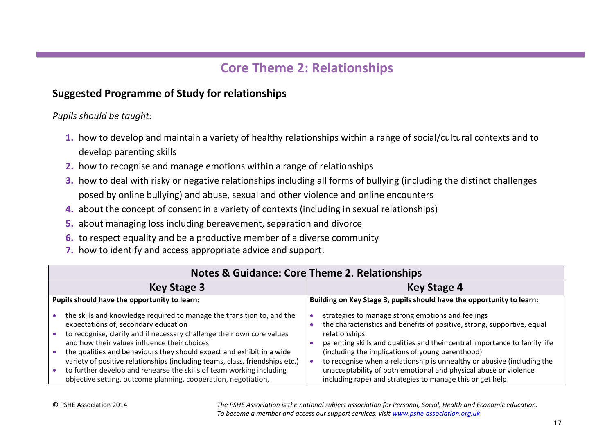# **Core Theme 2: Relationships**

# **Suggested Programme of Study for relationships**

*Pupils should be taught:* 

- **1.** how to develop and maintain a variety of healthy relationships within a range of social/cultural contexts and to develop parenting skills
- **2.** how to recognise and manage emotions within a range of relationships
- **3.** how to deal with risky or negative relationships including all forms of bullying (including the distinct challenges posed by online bullying) and abuse, sexual and other violence and online encounters
- **4.** about the concept of consent in a variety of contexts (including in sexual relationships)
- **5.** about managing loss including bereavement, separation and divorce
- **6.** to respect equality and be a productive member of a diverse community
- **7.** how to identify and access appropriate advice and support.

| <b>Notes &amp; Guidance: Core Theme 2. Relationships</b>                                                                                                                                                                                                                                                                                                                                                                                                                                                                                    |                                                                                                                                                                                                                                                                                                                                                                                                                                                                                             |  |  |  |  |
|---------------------------------------------------------------------------------------------------------------------------------------------------------------------------------------------------------------------------------------------------------------------------------------------------------------------------------------------------------------------------------------------------------------------------------------------------------------------------------------------------------------------------------------------|---------------------------------------------------------------------------------------------------------------------------------------------------------------------------------------------------------------------------------------------------------------------------------------------------------------------------------------------------------------------------------------------------------------------------------------------------------------------------------------------|--|--|--|--|
| <b>Key Stage 3</b>                                                                                                                                                                                                                                                                                                                                                                                                                                                                                                                          | <b>Key Stage 4</b>                                                                                                                                                                                                                                                                                                                                                                                                                                                                          |  |  |  |  |
| Pupils should have the opportunity to learn:                                                                                                                                                                                                                                                                                                                                                                                                                                                                                                | Building on Key Stage 3, pupils should have the opportunity to learn:                                                                                                                                                                                                                                                                                                                                                                                                                       |  |  |  |  |
| the skills and knowledge required to manage the transition to, and the<br>expectations of, secondary education<br>to recognise, clarify and if necessary challenge their own core values<br>and how their values influence their choices<br>the qualities and behaviours they should expect and exhibit in a wide<br>variety of positive relationships (including teams, class, friendships etc.)<br>to further develop and rehearse the skills of team working including<br>objective setting, outcome planning, cooperation, negotiation, | strategies to manage strong emotions and feelings<br>the characteristics and benefits of positive, strong, supportive, equal<br>relationships<br>parenting skills and qualities and their central importance to family life<br>(including the implications of young parenthood)<br>to recognise when a relationship is unhealthy or abusive (including the<br>unacceptability of both emotional and physical abuse or violence<br>including rape) and strategies to manage this or get help |  |  |  |  |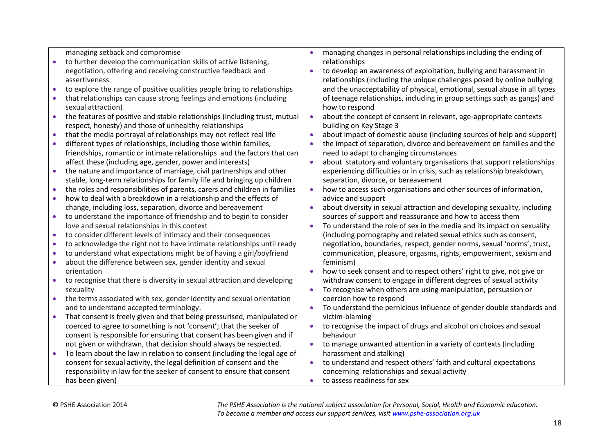|           | managing setback and compromise                                                                                                                |           | managing changes in personal relationships including the ending of                           |
|-----------|------------------------------------------------------------------------------------------------------------------------------------------------|-----------|----------------------------------------------------------------------------------------------|
| $\bullet$ | to further develop the communication skills of active listening,                                                                               |           | relationships                                                                                |
|           | negotiation, offering and receiving constructive feedback and                                                                                  |           | to develop an awareness of exploitation, bullying and harassment in                          |
|           | assertiveness                                                                                                                                  |           | relationships (including the unique challenges posed by online bullying                      |
| $\bullet$ | to explore the range of positive qualities people bring to relationships                                                                       |           | and the unacceptability of physical, emotional, sexual abuse in all types                    |
| $\bullet$ | that relationships can cause strong feelings and emotions (including                                                                           |           | of teenage relationships, including in group settings such as gangs) and                     |
|           | sexual attraction)                                                                                                                             |           | how to respond                                                                               |
| $\bullet$ | the features of positive and stable relationships (including trust, mutual                                                                     | $\bullet$ | about the concept of consent in relevant, age-appropriate contexts                           |
|           | respect, honesty) and those of unhealthy relationships                                                                                         |           | building on Key Stage 3                                                                      |
| $\bullet$ | that the media portrayal of relationships may not reflect real life                                                                            | $\bullet$ | about impact of domestic abuse (including sources of help and support)                       |
| $\bullet$ | different types of relationships, including those within families,                                                                             | $\bullet$ | the impact of separation, divorce and bereavement on families and the                        |
|           | friendships, romantic or intimate relationships and the factors that can                                                                       |           | need to adapt to changing circumstances                                                      |
|           | affect these (including age, gender, power and interests)                                                                                      | $\bullet$ | about statutory and voluntary organisations that support relationships                       |
| $\bullet$ | the nature and importance of marriage, civil partnerships and other                                                                            |           | experiencing difficulties or in crisis, such as relationship breakdown,                      |
|           | stable, long-term relationships for family life and bringing up children                                                                       |           | separation, divorce, or bereavement                                                          |
| $\bullet$ | the roles and responsibilities of parents, carers and children in families                                                                     | $\bullet$ | how to access such organisations and other sources of information,                           |
| $\bullet$ | how to deal with a breakdown in a relationship and the effects of                                                                              |           | advice and support                                                                           |
|           | change, including loss, separation, divorce and bereavement                                                                                    | $\bullet$ | about diversity in sexual attraction and developing sexuality, including                     |
| $\bullet$ | to understand the importance of friendship and to begin to consider                                                                            |           | sources of support and reassurance and how to access them                                    |
|           | love and sexual relationships in this context                                                                                                  | $\bullet$ | To understand the role of sex in the media and its impact on sexuality                       |
| $\bullet$ | to consider different levels of intimacy and their consequences                                                                                |           | (including pornography and related sexual ethics such as consent,                            |
| $\bullet$ | to acknowledge the right not to have intimate relationships until ready                                                                        |           | negotiation, boundaries, respect, gender norms, sexual 'norms', trust,                       |
| $\bullet$ | to understand what expectations might be of having a girl/boyfriend                                                                            |           | communication, pleasure, orgasms, rights, empowerment, sexism and                            |
| $\bullet$ | about the difference between sex, gender identity and sexual                                                                                   |           | feminism)                                                                                    |
|           | orientation                                                                                                                                    | $\bullet$ | how to seek consent and to respect others' right to give, not give or                        |
| $\bullet$ | to recognise that there is diversity in sexual attraction and developing                                                                       |           | withdraw consent to engage in different degrees of sexual activity                           |
|           | sexuality                                                                                                                                      | $\bullet$ | To recognise when others are using manipulation, persuasion or                               |
| $\bullet$ | the terms associated with sex, gender identity and sexual orientation                                                                          |           | coercion how to respond                                                                      |
|           | and to understand accepted terminology.                                                                                                        |           | To understand the pernicious influence of gender double standards and                        |
| $\bullet$ | That consent is freely given and that being pressurised, manipulated or                                                                        |           | victim-blaming                                                                               |
|           | coerced to agree to something is not 'consent'; that the seeker of                                                                             |           | to recognise the impact of drugs and alcohol on choices and sexual                           |
|           | consent is responsible for ensuring that consent has been given and if                                                                         |           | behaviour                                                                                    |
|           | not given or withdrawn, that decision should always be respected.<br>To learn about the law in relation to consent (including the legal age of |           | to manage unwanted attention in a variety of contexts (including<br>harassment and stalking) |
| $\bullet$ |                                                                                                                                                |           |                                                                                              |
|           | consent for sexual activity, the legal definition of consent and the                                                                           |           | to understand and respect others' faith and cultural expectations                            |
|           | responsibility in law for the seeker of consent to ensure that consent                                                                         |           | concerning relationships and sexual activity<br>to assess readiness for sex                  |
|           | has been given)                                                                                                                                | $\bullet$ |                                                                                              |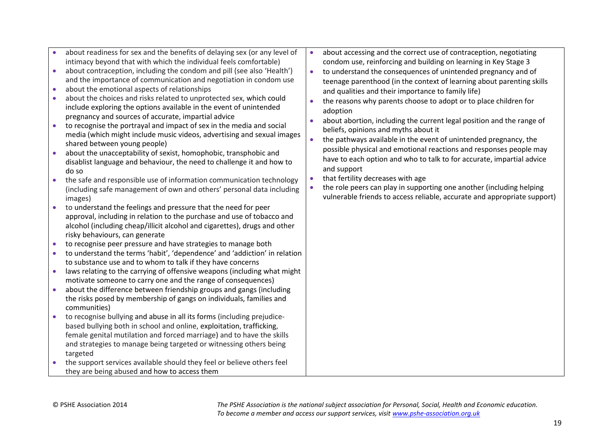|           | about readiness for sex and the benefits of delaying sex (or any level of | $\bullet$ | about accessing and the correct use of contraception, negotiating        |
|-----------|---------------------------------------------------------------------------|-----------|--------------------------------------------------------------------------|
|           | intimacy beyond that with which the individual feels comfortable)         |           | condom use, reinforcing and building on learning in Key Stage 3          |
| $\bullet$ | about contraception, including the condom and pill (see also 'Health')    | $\bullet$ | to understand the consequences of unintended pregnancy and of            |
|           | and the importance of communication and negotiation in condom use         |           | teenage parenthood (in the context of learning about parenting skills    |
| $\bullet$ | about the emotional aspects of relationships                              |           | and qualities and their importance to family life)                       |
| $\bullet$ | about the choices and risks related to unprotected sex, which could       | $\bullet$ | the reasons why parents choose to adopt or to place children for         |
|           | include exploring the options available in the event of unintended        |           | adoption                                                                 |
|           | pregnancy and sources of accurate, impartial advice                       |           | about abortion, including the current legal position and the range of    |
| $\bullet$ | to recognise the portrayal and impact of sex in the media and social      |           | beliefs, opinions and myths about it                                     |
|           | media (which might include music videos, advertising and sexual images    | $\bullet$ | the pathways available in the event of unintended pregnancy, the         |
|           | shared between young people)                                              |           |                                                                          |
| $\bullet$ | about the unacceptability of sexist, homophobic, transphobic and          |           | possible physical and emotional reactions and responses people may       |
|           | disablist language and behaviour, the need to challenge it and how to     |           | have to each option and who to talk to for accurate, impartial advice    |
|           | do so                                                                     |           | and support                                                              |
| $\bullet$ | the safe and responsible use of information communication technology      | $\bullet$ | that fertility decreases with age                                        |
|           | (including safe management of own and others' personal data including     |           | the role peers can play in supporting one another (including helping     |
|           | images)                                                                   |           | vulnerable friends to access reliable, accurate and appropriate support) |
| $\bullet$ | to understand the feelings and pressure that the need for peer            |           |                                                                          |
|           | approval, including in relation to the purchase and use of tobacco and    |           |                                                                          |
|           | alcohol (including cheap/illicit alcohol and cigarettes), drugs and other |           |                                                                          |
|           | risky behaviours, can generate                                            |           |                                                                          |
|           | to recognise peer pressure and have strategies to manage both             |           |                                                                          |
| $\bullet$ | to understand the terms 'habit', 'dependence' and 'addiction' in relation |           |                                                                          |
|           | to substance use and to whom to talk if they have concerns                |           |                                                                          |
| $\bullet$ | laws relating to the carrying of offensive weapons (including what might  |           |                                                                          |
|           | motivate someone to carry one and the range of consequences)              |           |                                                                          |
| $\bullet$ | about the difference between friendship groups and gangs (including       |           |                                                                          |
|           | the risks posed by membership of gangs on individuals, families and       |           |                                                                          |
|           | communities)                                                              |           |                                                                          |
| $\bullet$ | to recognise bullying and abuse in all its forms (including prejudice-    |           |                                                                          |
|           | based bullying both in school and online, exploitation, trafficking,      |           |                                                                          |
|           | female genital mutilation and forced marriage) and to have the skills     |           |                                                                          |
|           | and strategies to manage being targeted or witnessing others being        |           |                                                                          |
|           | targeted                                                                  |           |                                                                          |
| $\bullet$ | the support services available should they feel or believe others feel    |           |                                                                          |
|           | they are being abused and how to access them                              |           |                                                                          |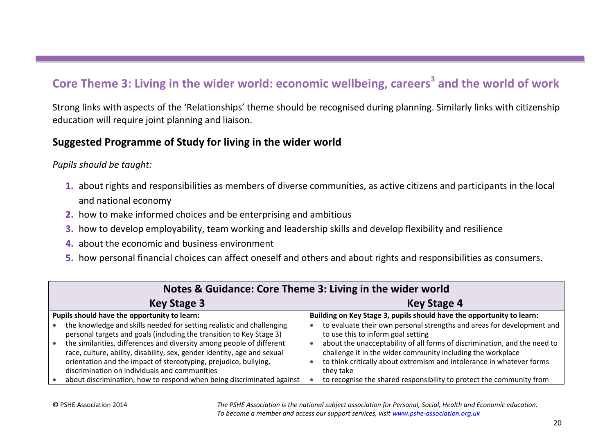# **Core Theme 3: Living in the wider world: economic wellbeing, careers<sup>3</sup> and the world of work**

Strong links with aspects of the 'Relationships' theme should be recognised during planning. Similarly links with citizenship education will require joint planning and liaison.

#### **Suggested Programme of Study for living in the wider world**

*Pupils should be taught:* 

- **1.** about rights and responsibilities as members of diverse communities, as active citizens and participants in the local and national economy
- **2.** how to make informed choices and be enterprising and ambitious
- **3.** how to develop employability, team working and leadership skills and develop flexibility and resilience
- **4.** about the economic and business environment
- **5.** how personal financial choices can affect oneself and others and about rights and responsibilities as consumers.

| Notes & Guidance: Core Theme 3: Living in the wider world                                                                                                                                                                                                                                                                                                                                                               |                                                                                                                                                                                                                                                                                                                                                |  |  |  |  |
|-------------------------------------------------------------------------------------------------------------------------------------------------------------------------------------------------------------------------------------------------------------------------------------------------------------------------------------------------------------------------------------------------------------------------|------------------------------------------------------------------------------------------------------------------------------------------------------------------------------------------------------------------------------------------------------------------------------------------------------------------------------------------------|--|--|--|--|
| <b>Key Stage 3</b>                                                                                                                                                                                                                                                                                                                                                                                                      | <b>Key Stage 4</b>                                                                                                                                                                                                                                                                                                                             |  |  |  |  |
| Pupils should have the opportunity to learn:                                                                                                                                                                                                                                                                                                                                                                            | Building on Key Stage 3, pupils should have the opportunity to learn:                                                                                                                                                                                                                                                                          |  |  |  |  |
| the knowledge and skills needed for setting realistic and challenging<br>personal targets and goals (including the transition to Key Stage 3)<br>the similarities, differences and diversity among people of different<br>race, culture, ability, disability, sex, gender identity, age and sexual<br>orientation and the impact of stereotyping, prejudice, bullying,<br>discrimination on individuals and communities | to evaluate their own personal strengths and areas for development and<br>to use this to inform goal setting<br>about the unacceptability of all forms of discrimination, and the need to<br>challenge it in the wider community including the workplace<br>to think critically about extremism and intolerance in whatever forms<br>they take |  |  |  |  |
| about discrimination, how to respond when being discriminated against                                                                                                                                                                                                                                                                                                                                                   | to recognise the shared responsibility to protect the community from                                                                                                                                                                                                                                                                           |  |  |  |  |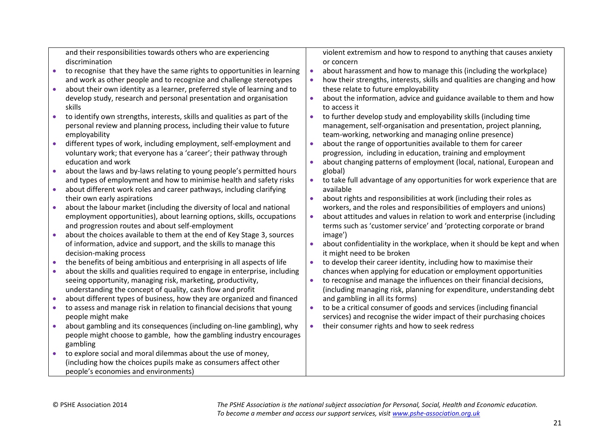|           | and their responsibilities towards others who are experiencing             |           | violent extremism and how to respond to anything that causes anxiety      |
|-----------|----------------------------------------------------------------------------|-----------|---------------------------------------------------------------------------|
|           | discrimination                                                             |           | or concern                                                                |
| $\bullet$ | to recognise that they have the same rights to opportunities in learning   | $\bullet$ | about harassment and how to manage this (including the workplace)         |
|           | and work as other people and to recognize and challenge stereotypes        | $\bullet$ | how their strengths, interests, skills and qualities are changing and how |
| $\bullet$ | about their own identity as a learner, preferred style of learning and to  |           | these relate to future employability                                      |
|           | develop study, research and personal presentation and organisation         | $\bullet$ | about the information, advice and guidance available to them and how      |
|           | skills                                                                     |           | to access it                                                              |
| $\bullet$ | to identify own strengths, interests, skills and qualities as part of the  | $\bullet$ | to further develop study and employability skills (including time         |
|           | personal review and planning process, including their value to future      |           | management, self-organisation and presentation, project planning,         |
|           | employability                                                              |           | team-working, networking and managing online presence)                    |
| $\bullet$ | different types of work, including employment, self-employment and         | $\bullet$ | about the range of opportunities available to them for career             |
|           | voluntary work; that everyone has a 'career'; their pathway through        |           | progression, including in education, training and employment              |
|           | education and work                                                         | $\bullet$ | about changing patterns of employment (local, national, European and      |
| $\bullet$ | about the laws and by-laws relating to young people's permitted hours      |           | global)                                                                   |
|           | and types of employment and how to minimise health and safety risks        |           | to take full advantage of any opportunities for work experience that are  |
| $\bullet$ | about different work roles and career pathways, including clarifying       |           | available                                                                 |
|           | their own early aspirations                                                | $\bullet$ | about rights and responsibilities at work (including their roles as       |
| $\bullet$ | about the labour market (including the diversity of local and national     |           | workers, and the roles and responsibilities of employers and unions)      |
|           | employment opportunities), about learning options, skills, occupations     | $\bullet$ | about attitudes and values in relation to work and enterprise (including  |
|           | and progression routes and about self-employment                           |           | terms such as 'customer service' and 'protecting corporate or brand       |
| $\bullet$ | about the choices available to them at the end of Key Stage 3, sources     |           | image')                                                                   |
|           | of information, advice and support, and the skills to manage this          | $\bullet$ | about confidentiality in the workplace, when it should be kept and when   |
|           | decision-making process                                                    |           | it might need to be broken                                                |
|           | the benefits of being ambitious and enterprising in all aspects of life    | $\bullet$ | to develop their career identity, including how to maximise their         |
| $\bullet$ | about the skills and qualities required to engage in enterprise, including |           | chances when applying for education or employment opportunities           |
|           | seeing opportunity, managing risk, marketing, productivity,                | $\bullet$ | to recognise and manage the influences on their financial decisions,      |
|           | understanding the concept of quality, cash flow and profit                 |           | (including managing risk, planning for expenditure, understanding debt    |
| $\bullet$ | about different types of business, how they are organized and financed     |           | and gambling in all its forms)                                            |
| $\bullet$ | to assess and manage risk in relation to financial decisions that young    | $\bullet$ | to be a critical consumer of goods and services (including financial      |
|           | people might make                                                          |           | services) and recognise the wider impact of their purchasing choices      |
| $\bullet$ | about gambling and its consequences (including on-line gambling), why      | $\bullet$ | their consumer rights and how to seek redress                             |
|           | people might choose to gamble, how the gambling industry encourages        |           |                                                                           |
|           | gambling                                                                   |           |                                                                           |
| $\bullet$ | to explore social and moral dilemmas about the use of money,               |           |                                                                           |
|           | (including how the choices pupils make as consumers affect other           |           |                                                                           |
|           | people's economies and environments)                                       |           |                                                                           |